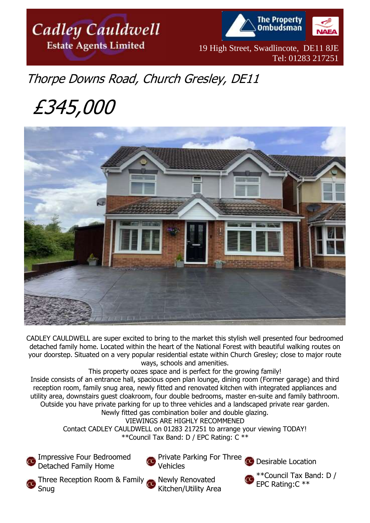



19 High Street, Swadlincote, DE11 8JE Tel: 01283 217251

# Thorpe Downs Road, Church Gresley, DE11

# £345,000



CADLEY CAULDWELL are super excited to bring to the market this stylish well presented four bedroomed detached family home. Located within the heart of the National Forest with beautiful walking routes on your doorstep. Situated on a very popular residential estate within Church Gresley; close to major route ways, schools and amenities.

This property oozes space and is perfect for the growing family!

Inside consists of an entrance hall, spacious open plan lounge, dining room (Former garage) and third reception room, family snug area, newly fitted and renovated kitchen with integrated appliances and utility area, downstairs guest cloakroom, four double bedrooms, master en-suite and family bathroom. Outside you have private parking for up to three vehicles and a landscaped private rear garden. Newly fitted gas combination boiler and double glazing.

VIEWINGS ARE HIGHLY RECOMMENED

Contact CADLEY CAULDWELL on 01283 217251 to arrange your viewing TODAY! \*\*Council Tax Band: D / EPC Rating: C \*\*

Impressive Four Bedroomed Detached Family Home

Private Parking For Three Desirable Location Vehicles



Kitchen/Utility Area



\*\*Council Tax Band: D / EPC Rating:C \*\*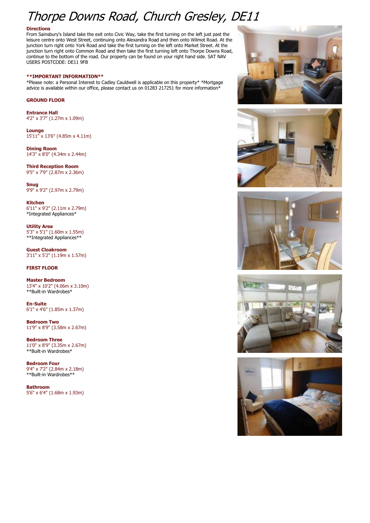## Thorpe Downs Road, Church Gresley, DE11

#### **Directions**

From Sainsbury's Island take the exit onto Civic Way, take the first turning on the left just past the leisure centre onto West Street, continuing onto Alexandra Road and then onto Wilmot Road. At the junction turn right onto York Road and take the first turning on the left onto Market Street. At the junction turn right onto Common Road and then take the first turning left onto Thorpe Downs Road, continue to the bottom of the road. Our property can be found on your right hand side. SAT NAV USERS POSTCODE: DE11 9FB

#### **\*\*IMPORTANT INFORMATION\*\***

\*Please note: a Personal Interest to Cadley Cauldwell is applicable on this property\* \*Mortgage advice is available within our office, please contact us on 01283 217251 for more information\*

### **GROUND FLOOR**

**Entrance Hall** 4'2" x 3'7" (1.27m x 1.09m)

**Lounge** 15'11" x 13'6" (4.85m x 4.11m)

**Dining Room** 14'3" x 8'0" (4.34m x 2.44m)

**Third Reception Room** 9'5" x 7'9" (2.87m x 2.36m)

**Snug** 9'9" x 9'2" (2.97m x 2.79m)

**Kitchen** 6'11" x 9'2" (2.11m x 2.79m) \*Integrated Appliances\*

**Utility Area** 5'3" x 5'1" (1.60m x 1.55m) \*\*Integrated Appliances\*\*

**Guest Cloakroom** 3'11" x 5'2" (1.19m x 1.57m)

## **FIRST FLOOR**

**Master Bedroom** 13'4" x 10'2" (4.06m x 3.10m) \*\*Built-in Wardrobes\*

**En-Suite** 6'1" x 4'6" (1.85m x 1.37m)

**Bedroom Two** 11'9" x 8'9" (3.58m x 2.67m)

**Bedroom Three** 11'0" x 8'9" (3.35m x 2.67m) \*\*Built-in Wardrobes\*

**Bedroom Four** 9'4" x 7'2" (2.84m x 2.18m) \*\*Built-in Wardrobes\*\*

**Bathroom** 5'6" x 6'4" (1.68m x 1.93m)